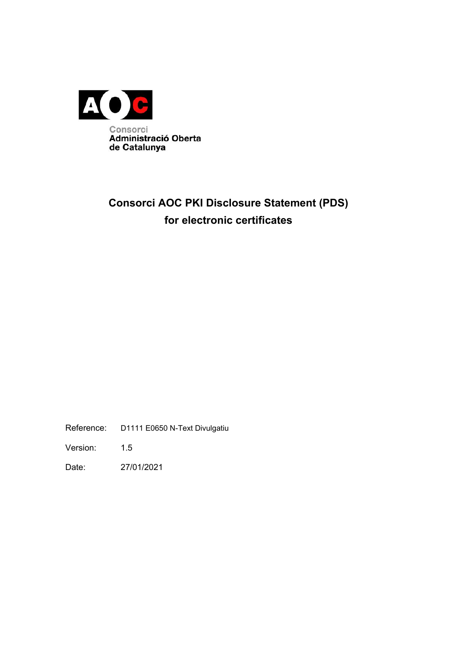

# **Consorci AOC PKI Disclosure Statement (PDS) for electronic certificates**

Reference: D1111 E0650 N-Text Divulgatiu

Version: 1.5

Date: 27/01/2021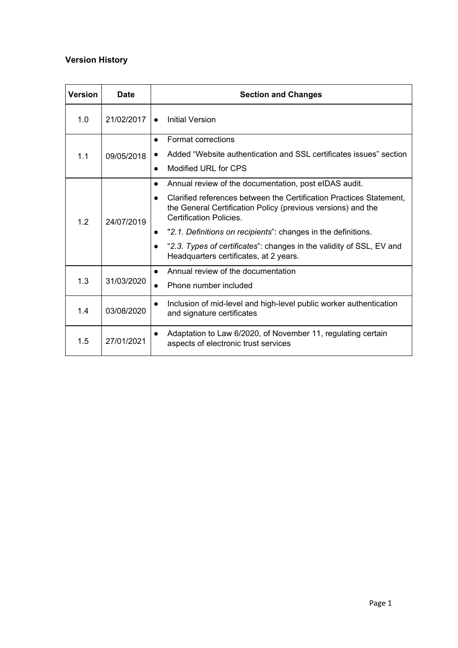# **Version History**

| <b>Version</b> | <b>Date</b> | <b>Section and Changes</b>                                                                                                                                     |  |  |
|----------------|-------------|----------------------------------------------------------------------------------------------------------------------------------------------------------------|--|--|
| 1.0            | 21/02/2017  | <b>Initial Version</b>                                                                                                                                         |  |  |
| 1.1            | 09/05/2018  | Format corrections                                                                                                                                             |  |  |
|                |             | Added "Website authentication and SSL certificates issues" section                                                                                             |  |  |
|                |             | Modified URL for CPS                                                                                                                                           |  |  |
| 1.2            | 24/07/2019  | Annual review of the documentation, post eIDAS audit.                                                                                                          |  |  |
|                |             | Clarified references between the Certification Practices Statement.<br>the General Certification Policy (previous versions) and the<br>Certification Policies. |  |  |
|                |             | "2.1. Definitions on recipients": changes in the definitions.                                                                                                  |  |  |
|                |             | "2.3. Types of certificates": changes in the validity of SSL, EV and<br>Headquarters certificates, at 2 years.                                                 |  |  |
| 1.3            | 31/03/2020  | Annual review of the documentation                                                                                                                             |  |  |
|                |             | Phone number included                                                                                                                                          |  |  |
| 1.4            | 03/08/2020  | Inclusion of mid-level and high-level public worker authentication<br>and signature certificates                                                               |  |  |
| 1.5            | 27/01/2021  | Adaptation to Law 6/2020, of November 11, regulating certain<br>aspects of electronic trust services                                                           |  |  |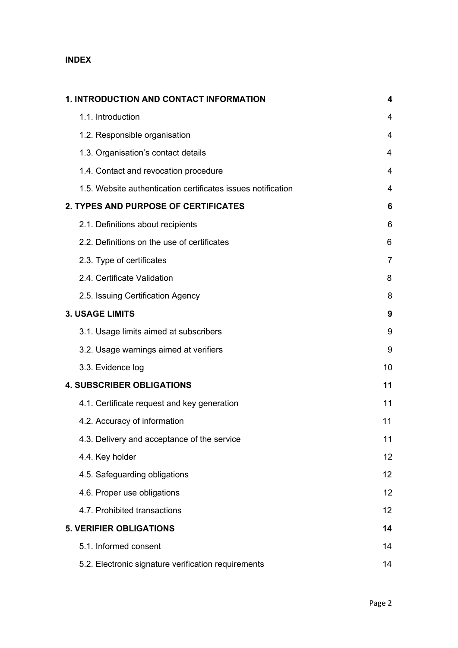# **INDEX**

| 1. INTRODUCTION AND CONTACT INFORMATION                      | 4              |
|--------------------------------------------------------------|----------------|
| 1.1. Introduction                                            | 4              |
| 1.2. Responsible organisation                                | 4              |
| 1.3. Organisation's contact details                          | 4              |
| 1.4. Contact and revocation procedure                        | 4              |
| 1.5. Website authentication certificates issues notification | 4              |
| 2. TYPES AND PURPOSE OF CERTIFICATES                         | 6              |
| 2.1. Definitions about recipients                            | 6              |
| 2.2. Definitions on the use of certificates                  | 6              |
| 2.3. Type of certificates                                    | $\overline{7}$ |
| 2.4. Certificate Validation                                  | 8              |
| 2.5. Issuing Certification Agency                            | 8              |
| <b>3. USAGE LIMITS</b>                                       | 9              |
| 3.1. Usage limits aimed at subscribers                       | 9              |
| 3.2. Usage warnings aimed at verifiers                       | 9              |
| 3.3. Evidence log                                            | 10             |
| <b>4. SUBSCRIBER OBLIGATIONS</b>                             | 11             |
| 4.1. Certificate request and key generation                  | 11             |
| 4.2. Accuracy of information                                 | 11             |
| 4.3. Delivery and acceptance of the service                  | 11             |
| 4.4. Key holder                                              | 12             |
| 4.5. Safeguarding obligations                                | 12             |
| 4.6. Proper use obligations                                  | 12             |
| 4.7. Prohibited transactions                                 | 12             |
| <b>5. VERIFIER OBLIGATIONS</b>                               | 14             |
| 5.1. Informed consent                                        | 14             |
| 5.2. Electronic signature verification requirements          | 14             |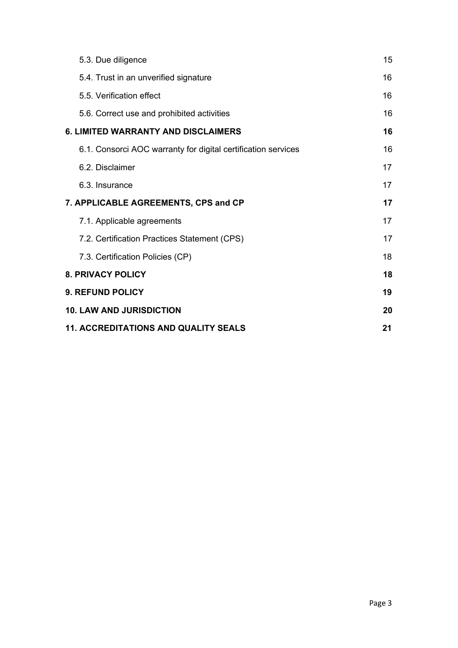| 5.3. Due diligence                                            | 15 |  |
|---------------------------------------------------------------|----|--|
| 5.4. Trust in an unverified signature                         | 16 |  |
| 5.5. Verification effect                                      | 16 |  |
| 5.6. Correct use and prohibited activities                    | 16 |  |
| <b>6. LIMITED WARRANTY AND DISCLAIMERS</b>                    | 16 |  |
| 6.1. Consorci AOC warranty for digital certification services | 16 |  |
| 6.2. Disclaimer                                               | 17 |  |
| 6.3. Insurance                                                | 17 |  |
| 7. APPLICABLE AGREEMENTS, CPS and CP                          | 17 |  |
| 7.1. Applicable agreements                                    | 17 |  |
| 7.2. Certification Practices Statement (CPS)                  | 17 |  |
| 7.3. Certification Policies (CP)                              | 18 |  |
| <b>8. PRIVACY POLICY</b>                                      | 18 |  |
| <b>9. REFUND POLICY</b>                                       | 19 |  |
| <b>10. LAW AND JURISDICTION</b>                               |    |  |
| <b>11. ACCREDITATIONS AND QUALITY SEALS</b>                   |    |  |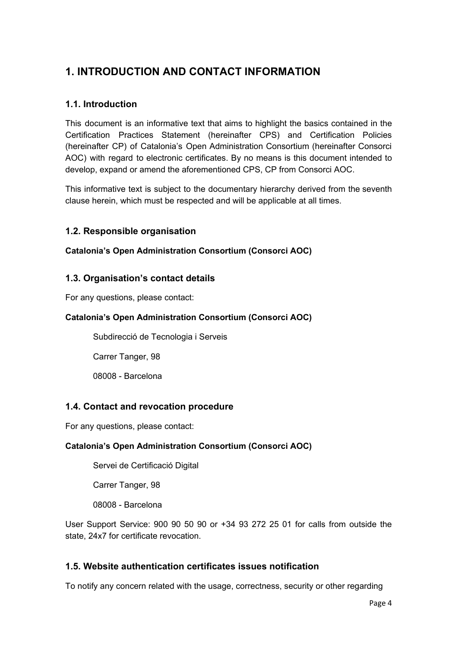# <span id="page-4-0"></span>**1. INTRODUCTION AND CONTACT INFORMATION**

# <span id="page-4-1"></span>**1.1. Introduction**

This document is an informative text that aims to highlight the basics contained in the Certification Practices Statement (hereinafter CPS) and Certification Policies (hereinafter CP) of Catalonia's Open Administration Consortium (hereinafter Consorci AOC) with regard to electronic certificates. By no means is this document intended to develop, expand or amend the aforementioned CPS, CP from Consorci AOC.

This informative text is subject to the documentary hierarchy derived from the seventh clause herein, which must be respected and will be applicable at all times.

### <span id="page-4-2"></span>**1.2. Responsible organisation**

#### **Catalonia's Open Administration Consortium (Consorci AOC)**

#### <span id="page-4-3"></span>**1.3. Organisation's contact details**

For any questions, please contact:

#### **Catalonia's Open Administration Consortium (Consorci AOC)**

Subdirecció de Tecnologia i Serveis

Carrer Tanger, 98

08008 - Barcelona

### <span id="page-4-4"></span>**1.4. Contact and revocation procedure**

For any questions, please contact:

#### **Catalonia's Open Administration Consortium (Consorci AOC)**

Servei de Certificació Digital

Carrer Tanger, 98

08008 - Barcelona

User Support Service: 900 90 50 90 or +34 93 272 25 01 for calls from outside the state, 24x7 for certificate revocation.

### <span id="page-4-5"></span>**1.5. Website authentication certificates issues notification**

To notify any concern related with the usage, correctness, security or other regarding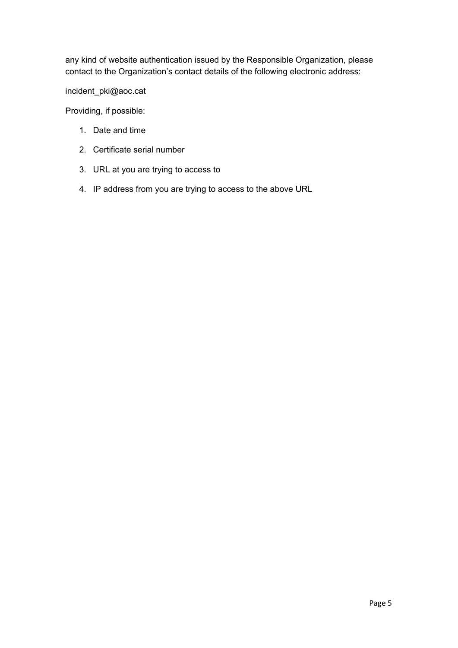any kind of website authentication issued by the Responsible Organization, please contact to the Organization's contact details of the following electronic address:

incident\_pki@aoc.cat

Providing, if possible:

- 1. Date and time
- 2. Certificate serial number
- 3. URL at you are trying to access to
- 4. IP address from you are trying to access to the above URL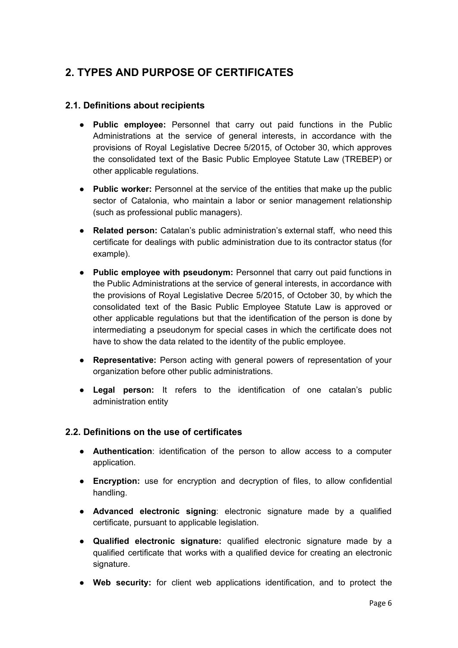# <span id="page-6-0"></span>**2. TYPES AND PURPOSE OF CERTIFICATES**

# <span id="page-6-1"></span>**2.1. Definitions about recipients**

- **Public employee:** Personnel that carry out paid functions in the Public Administrations at the service of general interests, in accordance with the provisions of Royal Legislative Decree 5/2015, of October 30, which approves the consolidated text of the Basic Public Employee Statute Law (TREBEP) or other applicable regulations.
- **Public worker:** Personnel at the service of the entities that make up the public sector of Catalonia, who maintain a labor or senior management relationship (such as professional public managers).
- **Related person:** Catalan's public administration's external staff, who need this certificate for dealings with public administration due to its contractor status (for example).
- **Public employee with pseudonym:** Personnel that carry out paid functions in the Public Administrations at the service of general interests, in accordance with the provisions of Royal Legislative Decree 5/2015, of October 30, by which the consolidated text of the Basic Public Employee Statute Law is approved or other applicable regulations but that the identification of the person is done by intermediating a pseudonym for special cases in which the certificate does not have to show the data related to the identity of the public employee.
- **Representative:** Person acting with general powers of representation of your organization before other public administrations.
- **Legal person:** It refers to the identification of one catalan's public administration entity

### <span id="page-6-2"></span>**2.2. Definitions on the use of certificates**

- **Authentication**: identification of the person to allow access to a computer application.
- **Encryption:** use for encryption and decryption of files, to allow confidential handling.
- **Advanced electronic signing**: electronic signature made by a qualified certificate, pursuant to applicable legislation.
- **Qualified electronic signature:** qualified electronic signature made by a qualified certificate that works with a qualified device for creating an electronic signature.
- **Web security:** for client web applications identification, and to protect the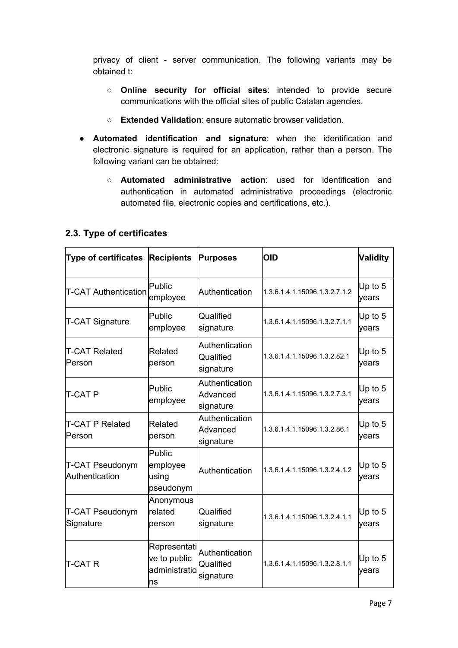privacy of client - server communication. The following variants may be obtained t:

- **Online security for official sites**: intended to provide secure communications with the official sites of public Catalan agencies.
- **Extended Validation**: ensure automatic browser validation.
- **Automated identification and signature**: when the identification and electronic signature is required for an application, rather than a person. The following variant can be obtained:
	- **Automated administrative action**: used for identification and authentication in automated administrative proceedings (electronic automated file, electronic copies and certifications, etc.).

| <b>Type of certificates</b>              | <b>Recipients</b>                                    | <b>Purposes</b>                          | OID                           | <b>Validity</b>    |
|------------------------------------------|------------------------------------------------------|------------------------------------------|-------------------------------|--------------------|
| <b>T-CAT Authentication</b>              | Public<br>employee                                   | Authentication                           | 1.3.6.1.4.1.15096.1.3.2.7.1.2 | Up to $5$<br>years |
| <b>T-CAT Signature</b>                   | Public<br>employee                                   | Qualified<br>signature                   | 1.3.6.1.4.1.15096.1.3.2.7.1.1 | Up to 5<br>years   |
| <b>T-CAT Related</b><br>Person           | Related<br>person                                    | Authentication<br>Qualified<br>signature | 1.3.6.1.4.1.15096.1.3.2.82.1  | Up to $5$<br>years |
| <b>T-CAT P</b>                           | Public<br>employee                                   | Authentication<br>Advanced<br>signature  | 1.3.6.1.4.1.15096.1.3.2.7.3.1 | Up to $5$<br>years |
| <b>T-CAT P Related</b><br>Person         | Related<br>person                                    | Authentication<br>Advanced<br>signature  | 1.3.6.1.4.1.15096.1.3.2.86.1  | Up to $5$<br>years |
| <b>T-CAT Pseudonym</b><br>Authentication | Public<br>employee<br>using<br>pseudonym             | Authentication                           | 1.3.6.1.4.1.15096.1.3.2.4.1.2 | Up to 5<br>years   |
| <b>T-CAT Pseudonym</b><br>Signature      | Anonymous<br>related<br>person                       | Qualified<br>signature                   | 1.3.6.1.4.1.15096.1.3.2.4.1.1 | Up to $5$<br>years |
| T-CAT R                                  | Representati<br>ve to public<br>administratio<br>Ins | Authentication<br>Qualified<br>signature | 1.3.6.1.4.1.15096.1.3.2.8.1.1 | Up to $5$<br>years |

# <span id="page-7-0"></span>**2.3. Type of certificates**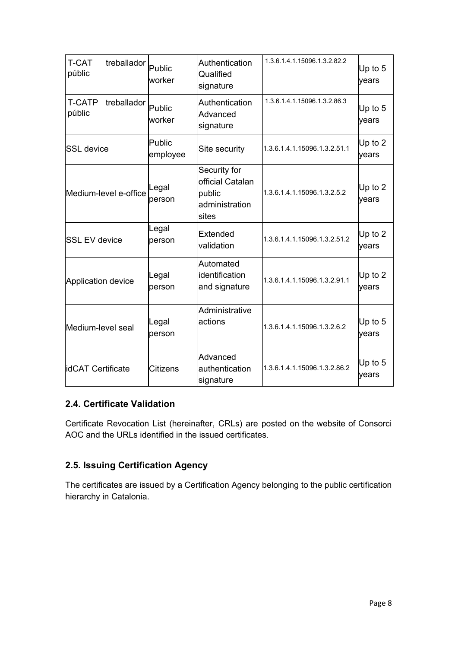| <b>T-CAT</b><br>treballador<br>públic  | Public<br>worker   | Authentication<br>Qualified<br>signature                              | 1.3.6.1.4.1.15096.1.3.2.82.2 | Up to 5<br>years   |
|----------------------------------------|--------------------|-----------------------------------------------------------------------|------------------------------|--------------------|
| <b>T-CATP</b><br>treballador<br>públic | Public<br>worker   | Authentication<br>Advanced<br>signature                               | 1.3.6.1.4.1.15096.1.3.2.86.3 | Up to $5$<br>years |
| <b>SSL</b> device                      | Public<br>employee | Site security                                                         | 1.3.6.1.4.1.15096.1.3.2.51.1 | Up to 2<br>years   |
| Medium-level e-office                  | Legal<br>person    | Security for<br>official Catalan<br>public<br>administration<br>sites | 1.3.6.1.4.1.15096.1.3.2.5.2  | Up to $2$<br>years |
| <b>SSL EV device</b>                   | Legal<br>person    | Extended<br>validation                                                | 1.3.6.1.4.1.15096.1.3.2.51.2 | Up to 2<br>years   |
| Application device                     | Legal<br>person    | Automated<br>identification<br>and signature                          | 1.3.6.1.4.1.15096.1.3.2.91.1 | Up to 2<br>years   |
| Medium-level seal                      | Legal<br>person    | Administrative<br>actions                                             | 1.3.6.1.4.1.15096.1.3.2.6.2  | Up to 5<br>years   |
| lidCAT Certificate                     | <b>Citizens</b>    | Advanced<br>authentication<br>signature                               | 1.3.6.1.4.1.15096.1.3.2.86.2 | Up to $5$<br>years |

# <span id="page-8-0"></span>**2.4. Certificate Validation**

Certificate Revocation List (hereinafter, CRLs) are posted on the website of Consorci AOC and the URLs identified in the issued certificates.

# <span id="page-8-1"></span>**2.5. Issuing Certification Agency**

The certificates are issued by a Certification Agency belonging to the public certification hierarchy in Catalonia.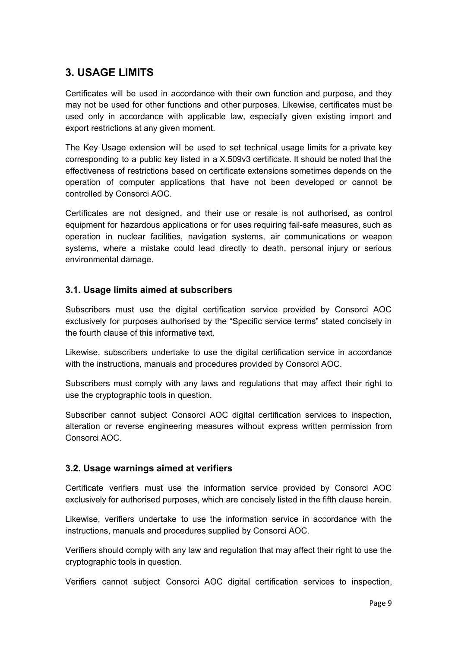# <span id="page-9-0"></span>**3. USAGE LIMITS**

Certificates will be used in accordance with their own function and purpose, and they may not be used for other functions and other purposes. Likewise, certificates must be used only in accordance with applicable law, especially given existing import and export restrictions at any given moment.

The Key Usage extension will be used to set technical usage limits for a private key corresponding to a public key listed in a X.509v3 certificate. It should be noted that the effectiveness of restrictions based on certificate extensions sometimes depends on the operation of computer applications that have not been developed or cannot be controlled by Consorci AOC.

Certificates are not designed, and their use or resale is not authorised, as control equipment for hazardous applications or for uses requiring fail-safe measures, such as operation in nuclear facilities, navigation systems, air communications or weapon systems, where a mistake could lead directly to death, personal injury or serious environmental damage.

### <span id="page-9-1"></span>**3.1. Usage limits aimed at subscribers**

Subscribers must use the digital certification service provided by Consorci AOC exclusively for purposes authorised by the "Specific service terms" stated concisely in the fourth clause of this informative text.

Likewise, subscribers undertake to use the digital certification service in accordance with the instructions, manuals and procedures provided by Consorci AOC.

Subscribers must comply with any laws and regulations that may affect their right to use the cryptographic tools in question.

Subscriber cannot subject Consorci AOC digital certification services to inspection, alteration or reverse engineering measures without express written permission from Consorci AOC.

### <span id="page-9-2"></span>**3.2. Usage warnings aimed at verifiers**

Certificate verifiers must use the information service provided by Consorci AOC exclusively for authorised purposes, which are concisely listed in the fifth clause herein.

Likewise, verifiers undertake to use the information service in accordance with the instructions, manuals and procedures supplied by Consorci AOC.

Verifiers should comply with any law and regulation that may affect their right to use the cryptographic tools in question.

Verifiers cannot subject Consorci AOC digital certification services to inspection,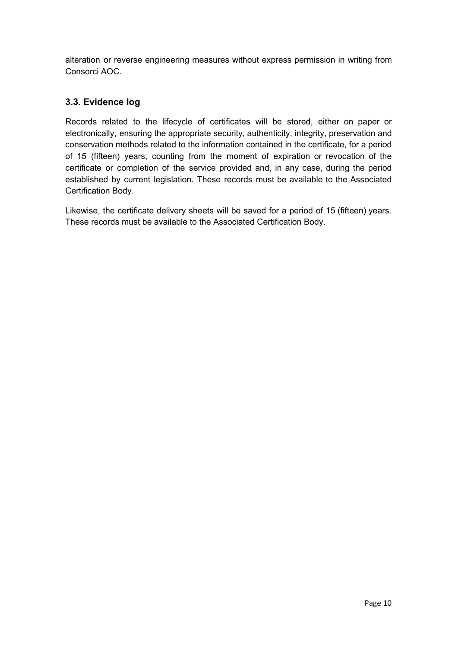alteration or reverse engineering measures without express permission in writing from Consorci AOC.

# <span id="page-10-0"></span>**3.3. Evidence log**

Records related to the lifecycle of certificates will be stored, either on paper or electronically, ensuring the appropriate security, authenticity, integrity, preservation and conservation methods related to the information contained in the certificate, for a period of 15 (fifteen) years, counting from the moment of expiration or revocation of the certificate or completion of the service provided and, in any case, during the period established by current legislation. These records must be available to the Associated Certification Body.

Likewise, the certificate delivery sheets will be saved for a period of 15 (fifteen) years. These records must be available to the Associated Certification Body.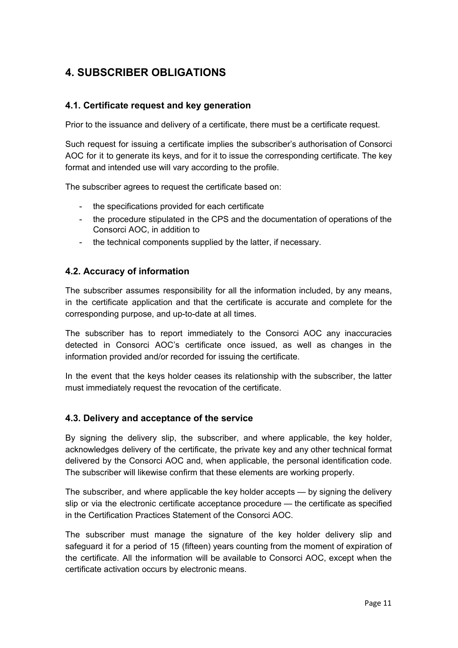# <span id="page-11-0"></span>**4. SUBSCRIBER OBLIGATIONS**

# <span id="page-11-1"></span>**4.1. Certificate request and key generation**

Prior to the issuance and delivery of a certificate, there must be a certificate request.

Such request for issuing a certificate implies the subscriber's authorisation of Consorci AOC for it to generate its keys, and for it to issue the corresponding certificate. The key format and intended use will vary according to the profile.

The subscriber agrees to request the certificate based on:

- the specifications provided for each certificate
- the procedure stipulated in the CPS and the documentation of operations of the Consorci AOC, in addition to
- the technical components supplied by the latter, if necessary.

### <span id="page-11-2"></span>**4.2. Accuracy of information**

The subscriber assumes responsibility for all the information included, by any means, in the certificate application and that the certificate is accurate and complete for the corresponding purpose, and up-to-date at all times.

The subscriber has to report immediately to the Consorci AOC any inaccuracies detected in Consorci AOC's certificate once issued, as well as changes in the information provided and/or recorded for issuing the certificate.

In the event that the keys holder ceases its relationship with the subscriber, the latter must immediately request the revocation of the certificate.

### <span id="page-11-3"></span>**4.3. Delivery and acceptance of the service**

By signing the delivery slip, the subscriber, and where applicable, the key holder, acknowledges delivery of the certificate, the private key and any other technical format delivered by the Consorci AOC and, when applicable, the personal identification code. The subscriber will likewise confirm that these elements are working properly.

The subscriber, and where applicable the key holder accepts — by signing the delivery slip or via the electronic certificate acceptance procedure — the certificate as specified in the Certification Practices Statement of the Consorci AOC.

The subscriber must manage the signature of the key holder delivery slip and safeguard it for a period of 15 (fifteen) years counting from the moment of expiration of the certificate. All the information will be available to Consorci AOC, except when the certificate activation occurs by electronic means.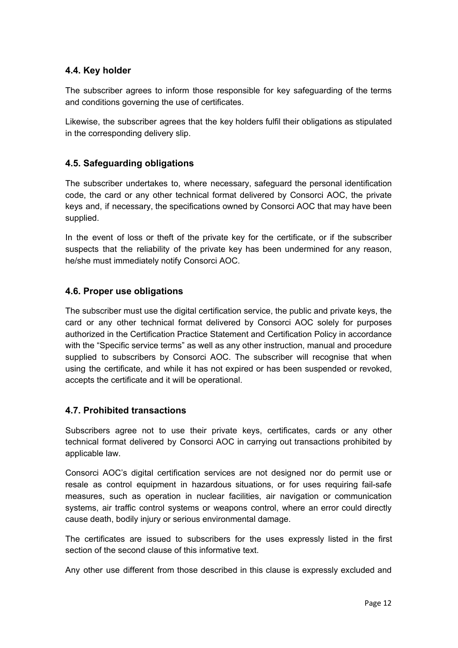# <span id="page-12-0"></span>**4.4. Key holder**

The subscriber agrees to inform those responsible for key safeguarding of the terms and conditions governing the use of certificates.

Likewise, the subscriber agrees that the key holders fulfil their obligations as stipulated in the corresponding delivery slip.

## <span id="page-12-1"></span>**4.5. Safeguarding obligations**

The subscriber undertakes to, where necessary, safeguard the personal identification code, the card or any other technical format delivered by Consorci AOC, the private keys and, if necessary, the specifications owned by Consorci AOC that may have been supplied.

In the event of loss or theft of the private key for the certificate, or if the subscriber suspects that the reliability of the private key has been undermined for any reason, he/she must immediately notify Consorci AOC.

### <span id="page-12-2"></span>**4.6. Proper use obligations**

The subscriber must use the digital certification service, the public and private keys, the card or any other technical format delivered by Consorci AOC solely for purposes authorized in the Certification Practice Statement and Certification Policy in accordance with the "Specific service terms" as well as any other instruction, manual and procedure supplied to subscribers by Consorci AOC. The subscriber will recognise that when using the certificate, and while it has not expired or has been suspended or revoked, accepts the certificate and it will be operational.

### <span id="page-12-3"></span>**4.7. Prohibited transactions**

Subscribers agree not to use their private keys, certificates, cards or any other technical format delivered by Consorci AOC in carrying out transactions prohibited by applicable law.

Consorci AOC's digital certification services are not designed nor do permit use or resale as control equipment in hazardous situations, or for uses requiring fail-safe measures, such as operation in nuclear facilities, air navigation or communication systems, air traffic control systems or weapons control, where an error could directly cause death, bodily injury or serious environmental damage.

The certificates are issued to subscribers for the uses expressly listed in the first section of the second clause of this informative text.

Any other use different from those described in this clause is expressly excluded and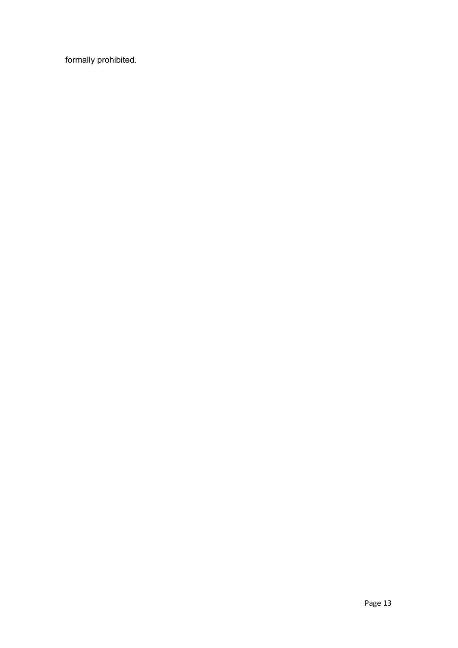formally prohibited.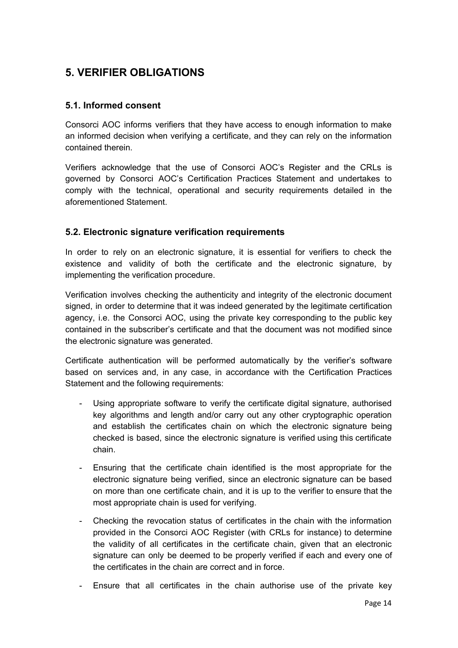# <span id="page-14-0"></span>**5. VERIFIER OBLIGATIONS**

# <span id="page-14-1"></span>**5.1. Informed consent**

Consorci AOC informs verifiers that they have access to enough information to make an informed decision when verifying a certificate, and they can rely on the information contained therein.

Verifiers acknowledge that the use of Consorci AOC's Register and the CRLs is governed by Consorci AOC's Certification Practices Statement and undertakes to comply with the technical, operational and security requirements detailed in the aforementioned Statement.

# <span id="page-14-2"></span>**5.2. Electronic signature verification requirements**

In order to rely on an electronic signature, it is essential for verifiers to check the existence and validity of both the certificate and the electronic signature, by implementing the verification procedure.

Verification involves checking the authenticity and integrity of the electronic document signed, in order to determine that it was indeed generated by the legitimate certification agency, i.e. the Consorci AOC, using the private key corresponding to the public key contained in the subscriber's certificate and that the document was not modified since the electronic signature was generated.

Certificate authentication will be performed automatically by the verifier's software based on services and, in any case, in accordance with the Certification Practices Statement and the following requirements:

- Using appropriate software to verify the certificate digital signature, authorised key algorithms and length and/or carry out any other cryptographic operation and establish the certificates chain on which the electronic signature being checked is based, since the electronic signature is verified using this certificate chain.
- Ensuring that the certificate chain identified is the most appropriate for the electronic signature being verified, since an electronic signature can be based on more than one certificate chain, and it is up to the verifier to ensure that the most appropriate chain is used for verifying.
- Checking the revocation status of certificates in the chain with the information provided in the Consorci AOC Register (with CRLs for instance) to determine the validity of all certificates in the certificate chain, given that an electronic signature can only be deemed to be properly verified if each and every one of the certificates in the chain are correct and in force.
- Ensure that all certificates in the chain authorise use of the private key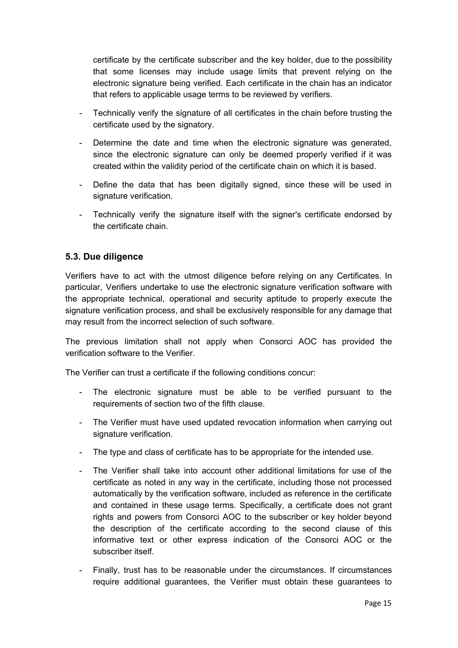certificate by the certificate subscriber and the key holder, due to the possibility that some licenses may include usage limits that prevent relying on the electronic signature being verified. Each certificate in the chain has an indicator that refers to applicable usage terms to be reviewed by verifiers.

- Technically verify the signature of all certificates in the chain before trusting the certificate used by the signatory.
- Determine the date and time when the electronic signature was generated, since the electronic signature can only be deemed properly verified if it was created within the validity period of the certificate chain on which it is based.
- Define the data that has been digitally signed, since these will be used in signature verification.
- Technically verify the signature itself with the signer's certificate endorsed by the certificate chain.

# <span id="page-15-0"></span>**5.3. Due diligence**

Verifiers have to act with the utmost diligence before relying on any Certificates. In particular, Verifiers undertake to use the electronic signature verification software with the appropriate technical, operational and security aptitude to properly execute the signature verification process, and shall be exclusively responsible for any damage that may result from the incorrect selection of such software.

The previous limitation shall not apply when Consorci AOC has provided the verification software to the Verifier.

The Verifier can trust a certificate if the following conditions concur:

- The electronic signature must be able to be verified pursuant to the requirements of section two of the fifth clause.
- The Verifier must have used updated revocation information when carrying out signature verification.
- The type and class of certificate has to be appropriate for the intended use.
- The Verifier shall take into account other additional limitations for use of the certificate as noted in any way in the certificate, including those not processed automatically by the verification software, included as reference in the certificate and contained in these usage terms. Specifically, a certificate does not grant rights and powers from Consorci AOC to the subscriber or key holder beyond the description of the certificate according to the second clause of this informative text or other express indication of the Consorci AOC or the subscriber itself.
- Finally, trust has to be reasonable under the circumstances. If circumstances require additional guarantees, the Verifier must obtain these guarantees to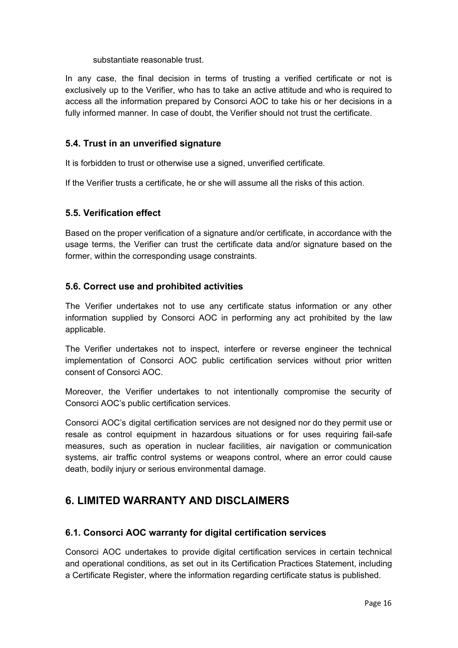substantiate reasonable trust.

In any case, the final decision in terms of trusting a verified certificate or not is exclusively up to the Verifier, who has to take an active attitude and who is required to access all the information prepared by Consorci AOC to take his or her decisions in a fully informed manner. In case of doubt, the Verifier should not trust the certificate.

# <span id="page-16-0"></span>**5.4. Trust in an unverified signature**

It is forbidden to trust or otherwise use a signed, unverified certificate.

If the Verifier trusts a certificate, he or she will assume all the risks of this action.

### <span id="page-16-1"></span>**5.5. Verification effect**

Based on the proper verification of a signature and/or certificate, in accordance with the usage terms, the Verifier can trust the certificate data and/or signature based on the former, within the corresponding usage constraints.

### <span id="page-16-2"></span>**5.6. Correct use and prohibited activities**

The Verifier undertakes not to use any certificate status information or any other information supplied by Consorci AOC in performing any act prohibited by the law applicable.

The Verifier undertakes not to inspect, interfere or reverse engineer the technical implementation of Consorci AOC public certification services without prior written consent of Consorci AOC.

Moreover, the Verifier undertakes to not intentionally compromise the security of Consorci AOC's public certification services.

Consorci AOC's digital certification services are not designed nor do they permit use or resale as control equipment in hazardous situations or for uses requiring fail-safe measures, such as operation in nuclear facilities, air navigation or communication systems, air traffic control systems or weapons control, where an error could cause death, bodily injury or serious environmental damage.

# <span id="page-16-3"></span>**6. LIMITED WARRANTY AND DISCLAIMERS**

### <span id="page-16-4"></span>**6.1. Consorci AOC warranty for digital certification services**

Consorci AOC undertakes to provide digital certification services in certain technical and operational conditions, as set out in its Certification Practices Statement, including a Certificate Register, where the information regarding certificate status is published.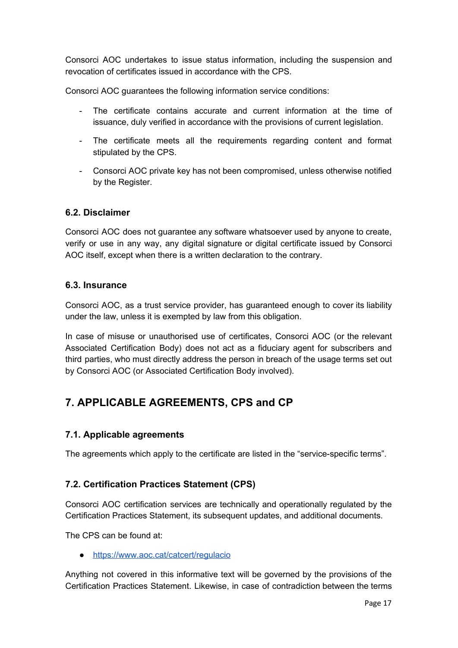Consorci AOC undertakes to issue status information, including the suspension and revocation of certificates issued in accordance with the CPS.

Consorci AOC guarantees the following information service conditions:

- The certificate contains accurate and current information at the time of issuance, duly verified in accordance with the provisions of current legislation.
- The certificate meets all the requirements regarding content and format stipulated by the CPS.
- Consorci AOC private key has not been compromised, unless otherwise notified by the Register.

### <span id="page-17-0"></span>**6.2. Disclaimer**

Consorci AOC does not guarantee any software whatsoever used by anyone to create, verify or use in any way, any digital signature or digital certificate issued by Consorci AOC itself, except when there is a written declaration to the contrary.

### <span id="page-17-1"></span>**6.3. Insurance**

Consorci AOC, as a trust service provider, has guaranteed enough to cover its liability under the law, unless it is exempted by law from this obligation.

In case of misuse or unauthorised use of certificates, Consorci AOC (or the relevant Associated Certification Body) does not act as a fiduciary agent for subscribers and third parties, who must directly address the person in breach of the usage terms set out by Consorci AOC (or Associated Certification Body involved).

# <span id="page-17-2"></span>**7. APPLICABLE AGREEMENTS, CPS and CP**

### <span id="page-17-3"></span>**7.1. Applicable agreements**

The agreements which apply to the certificate are listed in the "service-specific terms".

### <span id="page-17-4"></span>**7.2. Certification Practices Statement (CPS)**

Consorci AOC certification services are technically and operationally regulated by the Certification Practices Statement, its subsequent updates, and additional documents.

The CPS can be found at:

● <https://www.aoc.cat/catcert/regulacio>

Anything not covered in this informative text will be governed by the provisions of the Certification Practices Statement. Likewise, in case of contradiction between the terms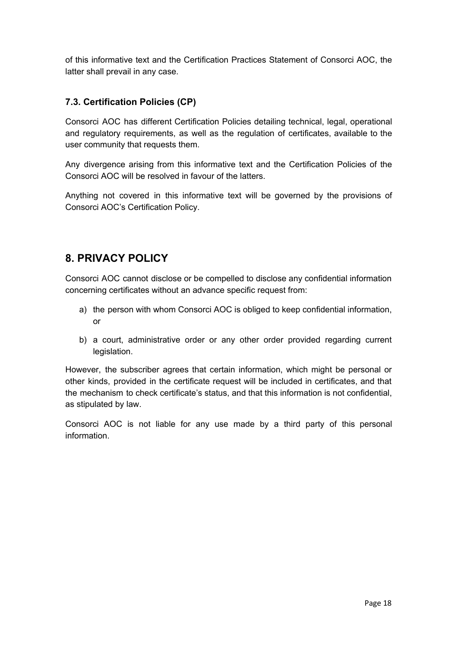of this informative text and the Certification Practices Statement of Consorci AOC, the latter shall prevail in any case.

# <span id="page-18-0"></span>**7.3. Certification Policies (CP)**

Consorci AOC has different Certification Policies detailing technical, legal, operational and regulatory requirements, as well as the regulation of certificates, available to the user community that requests them.

Any divergence arising from this informative text and the Certification Policies of the Consorci AOC will be resolved in favour of the latters.

Anything not covered in this informative text will be governed by the provisions of Consorci AOC's Certification Policy.

# <span id="page-18-1"></span>**8. PRIVACY POLICY**

Consorci AOC cannot disclose or be compelled to disclose any confidential information concerning certificates without an advance specific request from:

- a) the person with whom Consorci AOC is obliged to keep confidential information, or
- b) a court, administrative order or any other order provided regarding current legislation.

However, the subscriber agrees that certain information, which might be personal or other kinds, provided in the certificate request will be included in certificates, and that the mechanism to check certificate's status, and that this information is not confidential, as stipulated by law.

Consorci AOC is not liable for any use made by a third party of this personal information.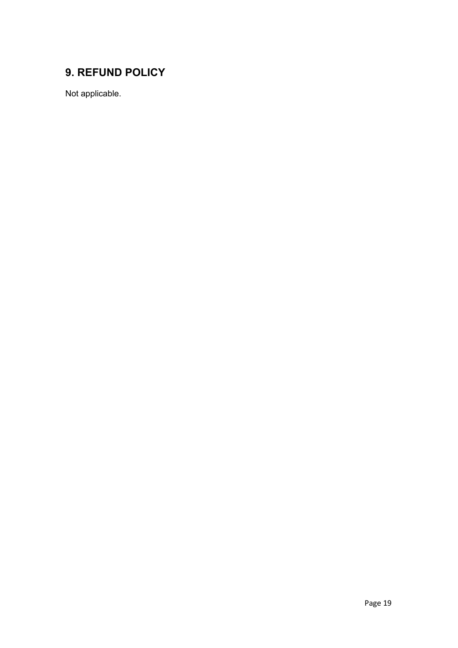# <span id="page-19-0"></span>**9. REFUND POLICY**

Not applicable.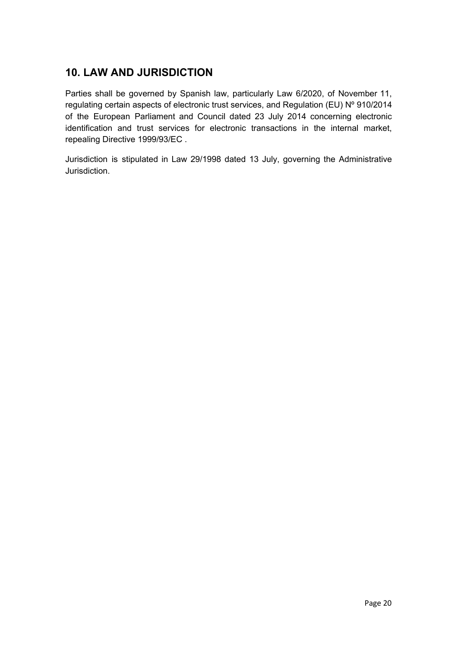# <span id="page-20-0"></span>**10. LAW AND JURISDICTION**

Parties shall be governed by Spanish law, particularly Law 6/2020, of November 11, regulating certain aspects of electronic trust services, and Regulation (EU) Nº 910/2014 of the European Parliament and Council dated 23 July 2014 concerning electronic identification and trust services for electronic transactions in the internal market, repealing Directive 1999/93/EC .

Jurisdiction is stipulated in Law 29/1998 dated 13 July, governing the Administrative Jurisdiction.